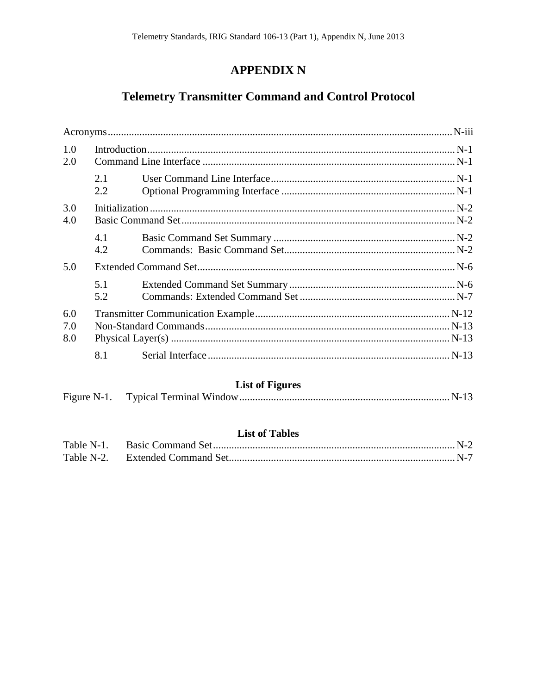# **APPENDIX N**

## **Telemetry Transmitter Command and Control Protocol**

| 1.0<br>2.0        |  |  |
|-------------------|--|--|
| 2.1<br>2.2        |  |  |
| 3.0<br>4.0        |  |  |
| 4.1<br>4.2        |  |  |
| 5.0               |  |  |
| 5.1<br>5.2        |  |  |
| 6.0<br>7.0<br>8.0 |  |  |
| 8.1               |  |  |

## **List of Figures**

| Figure N-1. |  |  |
|-------------|--|--|
|             |  |  |

#### **List of Tables**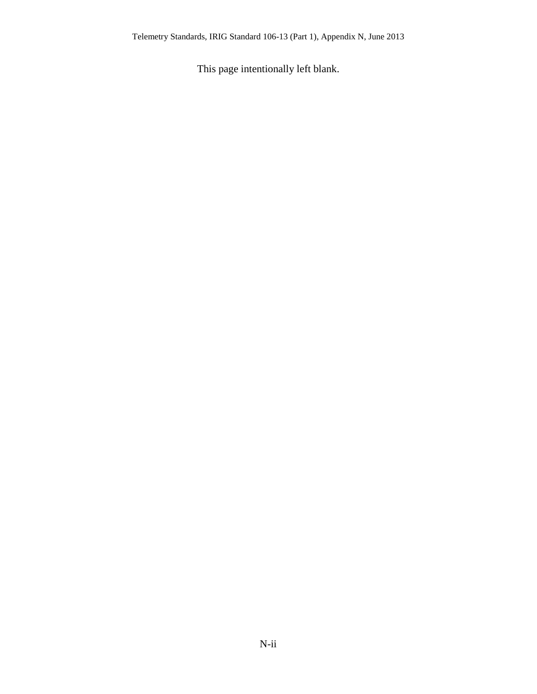This page intentionally left blank.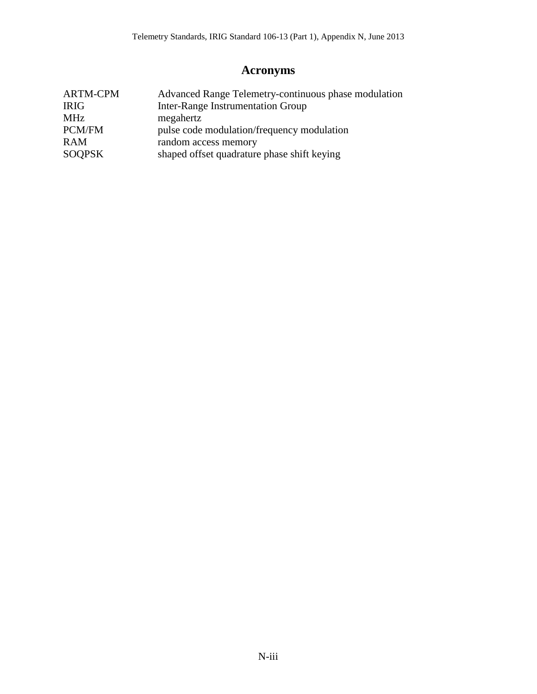# **Acronyms**

<span id="page-2-0"></span>

| <b>ARTM-CPM</b> | Advanced Range Telemetry-continuous phase modulation |
|-----------------|------------------------------------------------------|
| <b>IRIG</b>     | Inter-Range Instrumentation Group                    |
| MHz             | megahertz                                            |
| PCM/FM          | pulse code modulation/frequency modulation           |
| <b>RAM</b>      | random access memory                                 |
| <b>SOOPSK</b>   | shaped offset quadrature phase shift keying          |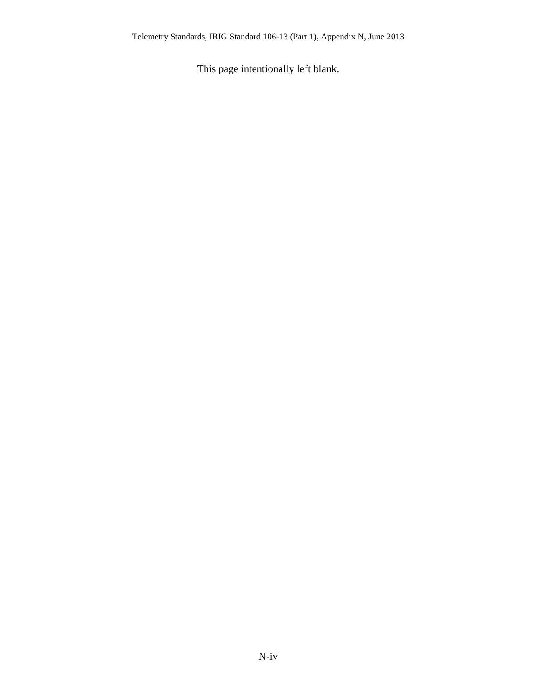This page intentionally left blank.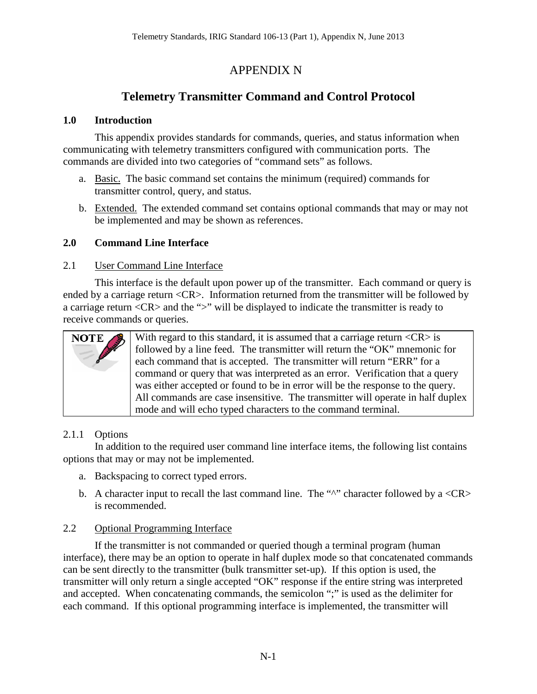## APPENDIX N

## **Telemetry Transmitter Command and Control Protocol**

#### <span id="page-4-0"></span>**1.0 Introduction**

This appendix provides standards for commands, queries, and status information when communicating with telemetry transmitters configured with communication ports. The commands are divided into two categories of "command sets" as follows.

- a. Basic. The basic command set contains the minimum (required) commands for transmitter control, query, and status.
- b. Extended. The extended command set contains optional commands that may or may not be implemented and may be shown as references.

## <span id="page-4-1"></span>**2.0 Command Line Interface**

## <span id="page-4-2"></span>2.1 User Command Line Interface

This interface is the default upon power up of the transmitter. Each command or query is ended by a carriage return <CR>. Information returned from the transmitter will be followed by a carriage return <CR> and the ">" will be displayed to indicate the transmitter is ready to receive commands or queries.



With regard to this standard, it is assumed that a carriage return  $\langle CR \rangle$  is followed by a line feed. The transmitter will return the "OK" mnemonic for each command that is accepted. The transmitter will return "ERR" for a command or query that was interpreted as an error. Verification that a query was either accepted or found to be in error will be the response to the query. All commands are case insensitive. The transmitter will operate in half duplex mode and will echo typed characters to the command terminal.

## 2.1.1 Options

In addition to the required user command line interface items, the following list contains options that may or may not be implemented.

- a. Backspacing to correct typed errors.
- b. A character input to recall the last command line. The " $\sim$ " character followed by a <CR> is recommended.

## <span id="page-4-3"></span>2.2 Optional Programming Interface

If the transmitter is not commanded or queried though a terminal program (human interface), there may be an option to operate in half duplex mode so that concatenated commands can be sent directly to the transmitter (bulk transmitter set-up). If this option is used, the transmitter will only return a single accepted "OK" response if the entire string was interpreted and accepted. When concatenating commands, the semicolon ";" is used as the delimiter for each command. If this optional programming interface is implemented, the transmitter will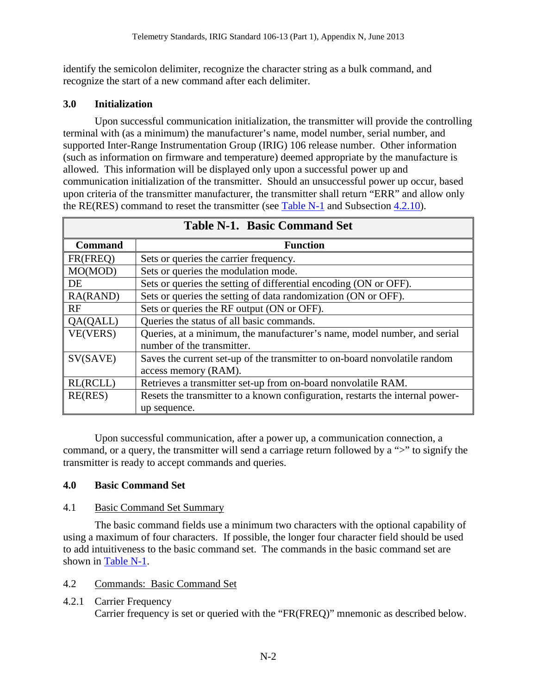identify the semicolon delimiter, recognize the character string as a bulk command, and recognize the start of a new command after each delimiter.

#### <span id="page-5-0"></span>**3.0 Initialization**

Upon successful communication initialization, the transmitter will provide the controlling terminal with (as a minimum) the manufacturer's name, model number, serial number, and supported Inter-Range Instrumentation Group (IRIG) 106 release number. Other information (such as information on firmware and temperature) deemed appropriate by the manufacture is allowed. This information will be displayed only upon a successful power up and communication initialization of the transmitter. Should an unsuccessful power up occur, based upon criteria of the transmitter manufacturer, the transmitter shall return "ERR" and allow only the RE(RES) command to reset the transmitter (see [Table N-1](#page-5-4) and Subsection [4.2.10\)](#page-9-2).

<span id="page-5-4"></span>

| <b>Table N-1. Basic Command Set</b> |                                                                               |  |
|-------------------------------------|-------------------------------------------------------------------------------|--|
| <b>Command</b>                      | <b>Function</b>                                                               |  |
| FR(FREQ)                            | Sets or queries the carrier frequency.                                        |  |
| MO(MOD)                             | Sets or queries the modulation mode.                                          |  |
| DE                                  | Sets or queries the setting of differential encoding (ON or OFF).             |  |
| RA(RAND)                            | Sets or queries the setting of data randomization (ON or OFF).                |  |
| RF                                  | Sets or queries the RF output (ON or OFF).                                    |  |
| QA(QALL)                            | Queries the status of all basic commands.                                     |  |
| <b>VE(VERS)</b>                     | Queries, at a minimum, the manufacturer's name, model number, and serial      |  |
|                                     | number of the transmitter.                                                    |  |
| SV(SAVE)                            | Saves the current set-up of the transmitter to on-board nonvolatile random    |  |
|                                     | access memory (RAM).                                                          |  |
| <b>RL(RCLL)</b>                     | Retrieves a transmitter set-up from on-board nonvolatile RAM.                 |  |
| RE(RES)                             | Resets the transmitter to a known configuration, restarts the internal power- |  |
|                                     | up sequence.                                                                  |  |

Upon successful communication, after a power up, a communication connection, a command, or a query, the transmitter will send a carriage return followed by a ">" to signify the transmitter is ready to accept commands and queries.

## <span id="page-5-1"></span>**4.0 Basic Command Set**

#### <span id="page-5-2"></span>4.1 Basic Command Set Summary

The basic command fields use a minimum two characters with the optional capability of using a maximum of four characters. If possible, the longer four character field should be used to add intuitiveness to the basic command set. The commands in the basic command set are shown in [Table N-1.](#page-5-4)

## <span id="page-5-3"></span>4.2 Commands: Basic Command Set

#### 4.2.1 Carrier Frequency

Carrier frequency is set or queried with the "FR(FREQ)" mnemonic as described below.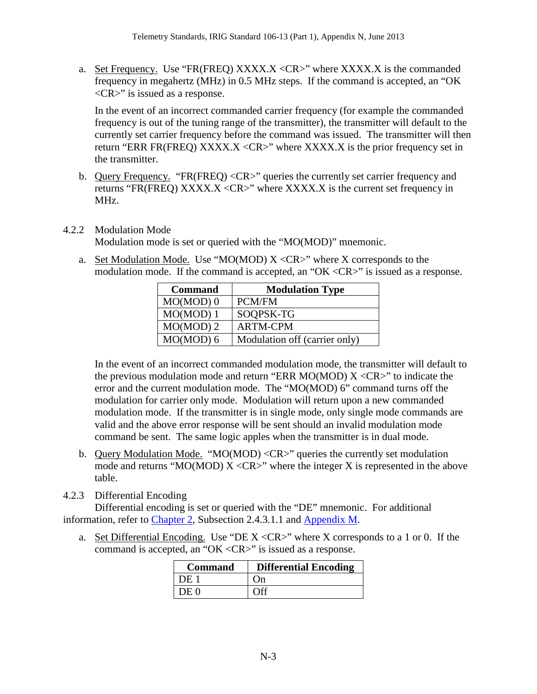a. Set Frequency. Use "FR(FREQ) XXXX.X <CR>" where XXXX.X is the commanded frequency in megahertz (MHz) in 0.5 MHz steps. If the command is accepted, an "OK <CR>" is issued as a response.

In the event of an incorrect commanded carrier frequency (for example the commanded frequency is out of the tuning range of the transmitter), the transmitter will default to the currently set carrier frequency before the command was issued. The transmitter will then return "ERR FR(FREQ) XXXX.X <CR>" where XXXX.X is the prior frequency set in the transmitter.

b. Query Frequency. "FR(FREQ) <CR>" queries the currently set carrier frequency and returns "FR(FREQ) XXXX. $X \leq CR$ " where XXXX. $X$  is the current set frequency in MHz.

#### 4.2.2 Modulation Mode

Modulation mode is set or queried with the "MO(MOD)" mnemonic.

a. Set Modulation Mode. Use "MO(MOD)  $X \le CR$ " where X corresponds to the modulation mode. If the command is accepted, an "OK  $\langle CR \rangle$ " is issued as a response.

| <b>Command</b> | <b>Modulation Type</b>        |
|----------------|-------------------------------|
| $MO(MOD)$ 0    | <b>PCM/FM</b>                 |
| $MO(MOD)$ 1    | SOQPSK-TG                     |
| $MO(MOD)$ 2    | <b>ARTM-CPM</b>               |
| $MO(MOD)$ 6    | Modulation off (carrier only) |

In the event of an incorrect commanded modulation mode, the transmitter will default to the previous modulation mode and return "ERR MO(MOD)  $X \le CR$  to indicate the error and the current modulation mode. The "MO(MOD) 6" command turns off the modulation for carrier only mode. Modulation will return upon a new commanded modulation mode. If the transmitter is in single mode, only single mode commands are valid and the above error response will be sent should an invalid modulation mode command be sent. The same logic apples when the transmitter is in dual mode.

- b. Query Modulation Mode. "MO(MOD) <CR>" queries the currently set modulation mode and returns "MO(MOD)  $X \leq CR$ " where the integer X is represented in the above table.
- 4.2.3 Differential Encoding

Differential encoding is set or queried with the "DE" mnemonic. For additional information, refer to [Chapter 2,](http://www.wsmr.army.mil/RCCsite/Documents/106-13_Telemetry_Standards/chapter2.pdf) Subsection 2.4.3.1.1 and [Appendix](http://www.wsmr.army.mil/RCCsite/Documents/106-13_Telemetry_Standards/appendixM.pdf) M.

a. Set Differential Encoding. Use "DE  $X \leq CR$ " where X corresponds to a 1 or 0. If the command is accepted, an "OK <CR>" is issued as a response.

| Command | <b>Differential Encoding</b> |
|---------|------------------------------|
| DE 1    | )n                           |
| DE 0    |                              |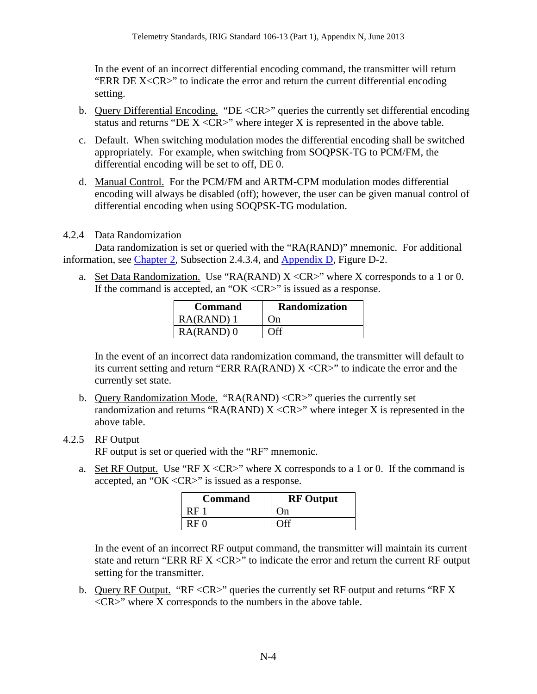In the event of an incorrect differential encoding command, the transmitter will return "ERR DE X<CR>" to indicate the error and return the current differential encoding setting.

- b. Query Differential Encoding. "DE <CR>" queries the currently set differential encoding status and returns "DE  $X \leq CR$ " where integer X is represented in the above table.
- c. Default. When switching modulation modes the differential encoding shall be switched appropriately. For example, when switching from SOQPSK-TG to PCM/FM, the differential encoding will be set to off, DE 0.
- d. Manual Control. For the PCM/FM and ARTM-CPM modulation modes differential encoding will always be disabled (off); however, the user can be given manual control of differential encoding when using SOQPSK-TG modulation.

#### 4.2.4 Data Randomization

Data randomization is set or queried with the "RA(RAND)" mnemonic. For additional information, see [Chapter 2,](http://www.wsmr.army.mil/RCCsite/Documents/106-13_Telemetry_Standards/chapter2.pdf) Subsection 2.4.3.4, and [Appendix D,](http://www.wsmr.army.mil/RCCsite/Documents/106-13_Telemetry_Standards/AppendixD.pdf) Figure D-2.

a. Set Data Randomization. Use "RA(RAND)  $X \langle CR \rangle$ " where X corresponds to a 1 or 0. If the command is accepted, an "OK <CR>" is issued as a response.

| <b>Command</b> | <b>Randomization</b> |
|----------------|----------------------|
| RA(RAND) 1     | )n                   |
| $RA(RAND)$ 0   |                      |

In the event of an incorrect data randomization command, the transmitter will default to its current setting and return "ERR RA(RAND)  $X \langle CR \rangle$ " to indicate the error and the currently set state.

b. Query Randomization Mode. "RA(RAND) <CR>" queries the currently set randomization and returns "RA(RAND)  $X \leq CR$  where integer X is represented in the above table.

#### 4.2.5 RF Output

RF output is set or queried with the "RF" mnemonic.

a. Set RF Output. Use "RF  $X \leq CR$ " where X corresponds to a 1 or 0. If the command is accepted, an "OK <CR>" is issued as a response.

| <b>Command</b> | <b>RF</b> Output |
|----------------|------------------|
| RF             |                  |
| RF ()          |                  |

In the event of an incorrect RF output command, the transmitter will maintain its current state and return "ERR RF X <CR>" to indicate the error and return the current RF output setting for the transmitter.

b. Query RF Output. "RF <CR>" queries the currently set RF output and returns "RF X <CR>" where X corresponds to the numbers in the above table.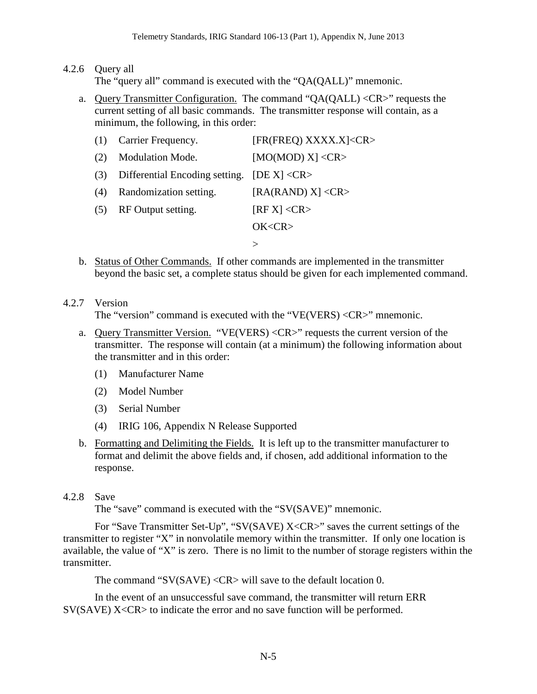## 4.2.6 Query all

The "query all" command is executed with the "QA(QALL)" mnemonic.

a. Query Transmitter Configuration. The command "QA(QALL) <CR>" requests the current setting of all basic commands. The transmitter response will contain, as a minimum, the following, in this order:

| (1) | Carrier Frequency.                           | [FR(FREQ) XXXX.X] <cr></cr> |
|-----|----------------------------------------------|-----------------------------|
| (2) | Modulation Mode.                             | [MO(MOD) X] < CR            |
| (3) | Differential Encoding setting. $[DE X] < CR$ |                             |
| (4) | Randomization setting.                       | [RA(RAND) X] < CR           |
| (5) | RF Output setting.                           | [RF X] < CR                 |
|     |                                              | OK < CR                     |
|     |                                              |                             |

b. Status of Other Commands. If other commands are implemented in the transmitter beyond the basic set, a complete status should be given for each implemented command.

## 4.2.7 Version

The "version" command is executed with the "VE(VERS) <CR>" mnemonic.

- a. Query Transmitter Version. "VE(VERS) <CR>" requests the current version of the transmitter. The response will contain (at a minimum) the following information about the transmitter and in this order:
	- (1) Manufacturer Name
	- (2) Model Number
	- (3) Serial Number
	- (4) IRIG 106, Appendix N Release Supported
- b. Formatting and Delimiting the Fields. It is left up to the transmitter manufacturer to format and delimit the above fields and, if chosen, add additional information to the response.

## 4.2.8 Save

The "save" command is executed with the "SV(SAVE)" mnemonic.

For "Save Transmitter Set-Up", "SV(SAVE) X<CR>" saves the current settings of the transmitter to register "X" in nonvolatile memory within the transmitter. If only one location is available, the value of "X" is zero. There is no limit to the number of storage registers within the transmitter.

The command "SV(SAVE) <CR> will save to the default location 0.

In the event of an unsuccessful save command, the transmitter will return ERR  $SV(SAVE) X < CR$  to indicate the error and no save function will be performed.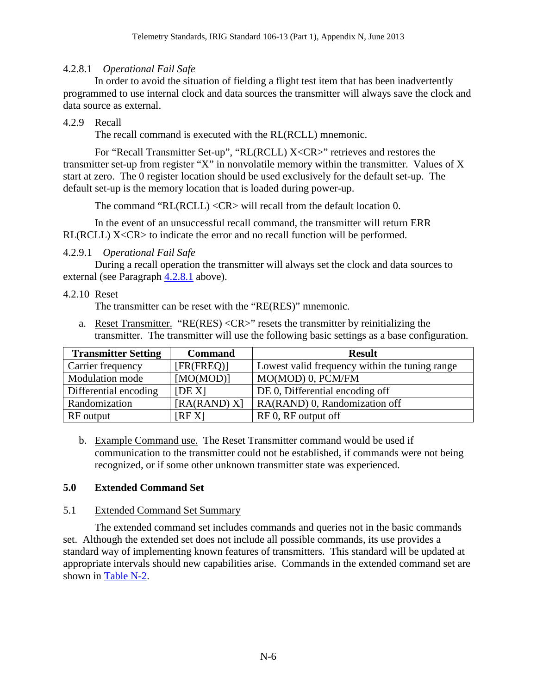## <span id="page-9-3"></span>4.2.8.1 *Operational Fail Safe*

In order to avoid the situation of fielding a flight test item that has been inadvertently programmed to use internal clock and data sources the transmitter will always save the clock and data source as external.

#### 4.2.9 Recall

The recall command is executed with the RL(RCLL) mnemonic.

For "Recall Transmitter Set-up", "RL(RCLL) X<CR>" retrieves and restores the transmitter set-up from register "X" in nonvolatile memory within the transmitter. Values of X start at zero. The 0 register location should be used exclusively for the default set-up. The default set-up is the memory location that is loaded during power-up.

The command "RL(RCLL) <CR> will recall from the default location 0.

In the event of an unsuccessful recall command, the transmitter will return ERR RL(RCLL) X<CR> to indicate the error and no recall function will be performed.

#### 4.2.9.1 *Operational Fail Safe*

During a recall operation the transmitter will always set the clock and data sources to external (see Paragraph [4.2.8.1](#page-9-3) above).

#### <span id="page-9-2"></span>4.2.10 Reset

The transmitter can be reset with the "RE(RES)" mnemonic.

a. Reset Transmitter. "RE(RES) <CR>" resets the transmitter by reinitializing the transmitter. The transmitter will use the following basic settings as a base configuration.

| <b>Transmitter Setting</b> | <b>Command</b> | <b>Result</b>                                  |
|----------------------------|----------------|------------------------------------------------|
| Carrier frequency          | [FR(FREQ)]     | Lowest valid frequency within the tuning range |
| <b>Modulation</b> mode     | [MO(MOD)]      | MO(MOD) 0, PCM/FM                              |
| Differential encoding      | [DE X]         | DE 0, Differential encoding off                |
| Randomization              | [RA(RAND) X]   | RA(RAND) 0, Randomization off                  |
| RF output                  | [RF X]         | RF 0, RF output off                            |

b. Example Command use. The Reset Transmitter command would be used if communication to the transmitter could not be established, if commands were not being recognized, or if some other unknown transmitter state was experienced.

## <span id="page-9-0"></span>**5.0 Extended Command Set**

#### <span id="page-9-1"></span>5.1 Extended Command Set Summary

The extended command set includes commands and queries not in the basic commands set. Although the extended set does not include all possible commands, its use provides a standard way of implementing known features of transmitters. This standard will be updated at appropriate intervals should new capabilities arise. Commands in the extended command set are shown in [Table N-2.](#page-10-1)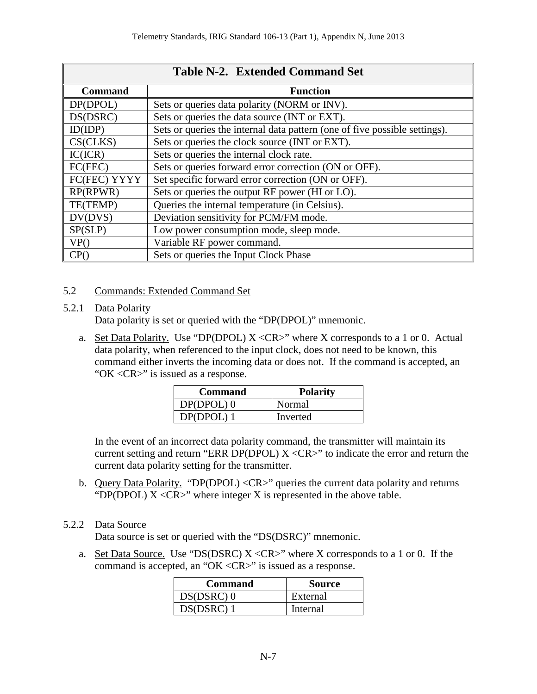<span id="page-10-1"></span>

| <b>Table N-2. Extended Command Set</b> |                                                                            |  |
|----------------------------------------|----------------------------------------------------------------------------|--|
| <b>Command</b>                         | <b>Function</b>                                                            |  |
| DP(DPOL)                               | Sets or queries data polarity (NORM or INV).                               |  |
| DS(DSRC)                               | Sets or queries the data source (INT or EXT).                              |  |
| ID(IDP)                                | Sets or queries the internal data pattern (one of five possible settings). |  |
| CS(CLKS)                               | Sets or queries the clock source (INT or EXT).                             |  |
| IC(ICR)                                | Sets or queries the internal clock rate.                                   |  |
| FC(FEC)                                | Sets or queries forward error correction (ON or OFF).                      |  |
| FC(FEC) YYYY                           | Set specific forward error correction (ON or OFF).                         |  |
| RP(RPWR)                               | Sets or queries the output RF power (HI or LO).                            |  |
| TE(TEMP)                               | Queries the internal temperature (in Celsius).                             |  |
| DV(DVS)                                | Deviation sensitivity for PCM/FM mode.                                     |  |
| SP(SLP)                                | Low power consumption mode, sleep mode.                                    |  |
| VP()                                   | Variable RF power command.                                                 |  |
| CP()                                   | Sets or queries the Input Clock Phase                                      |  |

#### <span id="page-10-0"></span>5.2 Commands: Extended Command Set

#### 5.2.1 Data Polarity

Data polarity is set or queried with the "DP(DPOL)" mnemonic.

a. Set Data Polarity. Use "DP(DPOL)  $X < CR$ " where X corresponds to a 1 or 0. Actual data polarity, when referenced to the input clock, does not need to be known, this command either inverts the incoming data or does not. If the command is accepted, an "OK <CR>" is issued as a response.

| <b>Command</b>          | <b>Polarity</b> |
|-------------------------|-----------------|
| $DP(DPOL)$ <sup>0</sup> | Normal          |
| DP(DPOL) 1              | Inverted        |

In the event of an incorrect data polarity command, the transmitter will maintain its current setting and return "ERR DP(DPOL)  $X \leq CR$  to indicate the error and return the current data polarity setting for the transmitter.

b. Query Data Polarity. "DP(DPOL) <CR>" queries the current data polarity and returns "DP(DPOL)  $X \leq CR$ " where integer X is represented in the above table.

#### 5.2.2 Data Source

Data source is set or queried with the "DS(DSRC)" mnemonic.

a. Set Data Source. Use "DS(DSRC)  $X \leq CR$ " where X corresponds to a 1 or 0. If the command is accepted, an "OK <CR>" is issued as a response.

| Command      | Source   |
|--------------|----------|
| $DS(DSRC)$ 0 | External |
| DS(DSRC) 1   | Internal |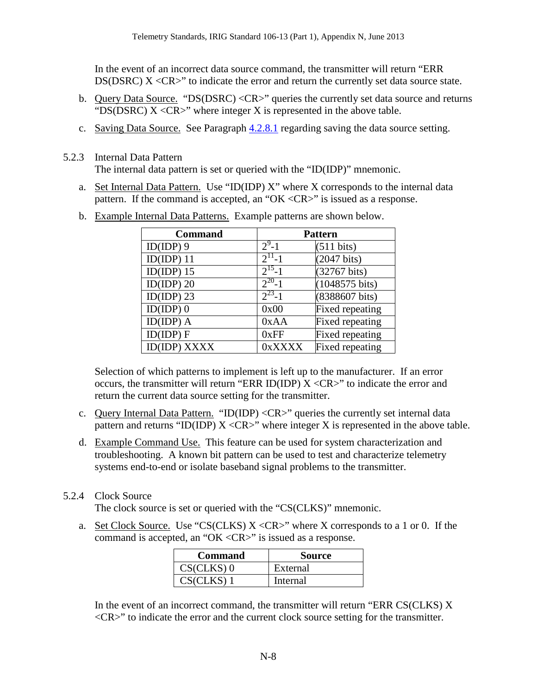In the event of an incorrect data source command, the transmitter will return "ERR  $DS(DSRC)$   $X \leq CR$  to indicate the error and return the currently set data source state.

- b. Query Data Source. "DS(DSRC) <CR>" queries the currently set data source and returns " $DS(DSRC)$   $X < CR$ " where integer  $X$  is represented in the above table.
- c. Saving Data Source. See Paragraph [4.2.8.1](#page-9-3) regarding saving the data source setting.
- 5.2.3 Internal Data Pattern

The internal data pattern is set or queried with the "ID(IDP)" mnemonic.

- a. Set Internal Data Pattern. Use "ID(IDP) X" where X corresponds to the internal data pattern. If the command is accepted, an "OK <CR>" is issued as a response.
	- **Command Pattern**<br> **P**<sub>2</sub><sup>9</sup>-1 *P*<sub>1</sub> *P*<sub>1</sub>  $\frac{1}{2^9-1}$ <br>ID(IDP) 11 2<sup>11</sup>-1  $(511 \text{ bits})$ <u>ID(IDP) 11  $2^{11}-1$  (2047 bits)</u><br>ID(IDP) 15  $2^{15}-1$  (32767 bits) ID(IDP) 15  $\left| \frac{2^{15}-1}{2^{15}-1} \right|$  (32767 bits)  $\frac{12^{20}-1}{10} \frac{(1048575 \text{ bits})}{(1048575 \text{ bits})}$ ID(IDP) 23  $\left| \frac{2^{23}-1}{2^{23}-1} \right|$  (8388607 bits) ID(IDP) 0  $\vert$  0x00 Fixed repeating ID(IDP) A  $\vert$  0xAA Fixed repeating ID(IDP) F  $\vert$  0xFF Fixed repeating ID(IDP) XXXX  $\vert$  0xXXXX Fixed repeating
- b. Example Internal Data Patterns. Example patterns are shown below.

Selection of which patterns to implement is left up to the manufacturer. If an error occurs, the transmitter will return "ERR ID(IDP)  $X < CR$ " to indicate the error and return the current data source setting for the transmitter.

- c. Query Internal Data Pattern. "ID(IDP) <CR>" queries the currently set internal data pattern and returns "ID(IDP)  $X \leq CR$ " where integer X is represented in the above table.
- d. Example Command Use. This feature can be used for system characterization and troubleshooting. A known bit pattern can be used to test and characterize telemetry systems end-to-end or isolate baseband signal problems to the transmitter.

#### 5.2.4 Clock Source

The clock source is set or queried with the "CS(CLKS)" mnemonic.

a. Set Clock Source. Use "CS(CLKS)  $X \leq CR$ " where X corresponds to a 1 or 0. If the command is accepted, an "OK <CR>" is issued as a response.

| Command      | Source   |
|--------------|----------|
| $CS(CLKS)$ 0 | External |
| $CS(CLKS)$ 1 | Internal |

In the event of an incorrect command, the transmitter will return "ERR CS(CLKS) X <CR>" to indicate the error and the current clock source setting for the transmitter.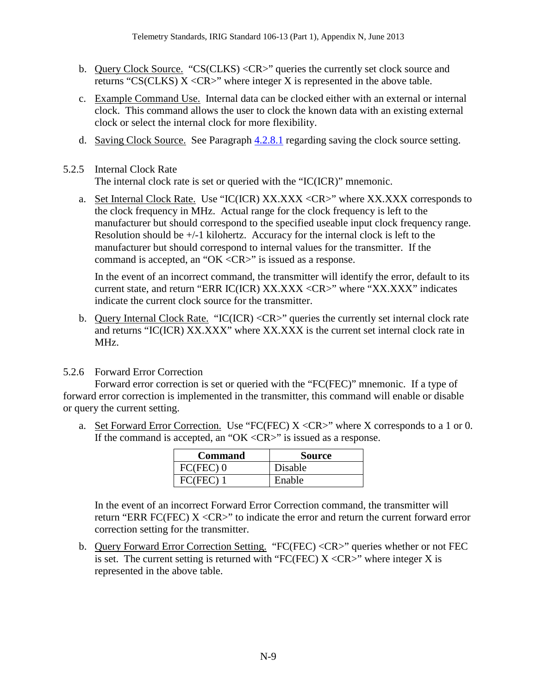- b. Query Clock Source. "CS(CLKS) <CR>" queries the currently set clock source and returns "CS(CLKS)  $X \leq C$ R $>$ " where integer X is represented in the above table.
- c. Example Command Use. Internal data can be clocked either with an external or internal clock. This command allows the user to clock the known data with an existing external clock or select the internal clock for more flexibility.
- d. Saving Clock Source. See Paragraph [4.2.8.1](#page-9-3) regarding saving the clock source setting.
- 5.2.5 Internal Clock Rate The internal clock rate is set or queried with the "IC(ICR)" mnemonic.
	- a. Set Internal Clock Rate. Use "IC(ICR) XX.XXX <CR>" where XX.XXX corresponds to the clock frequency in MHz. Actual range for the clock frequency is left to the manufacturer but should correspond to the specified useable input clock frequency range. Resolution should be  $+/-1$  kilohertz. Accuracy for the internal clock is left to the manufacturer but should correspond to internal values for the transmitter. If the command is accepted, an "OK <CR>" is issued as a response.

In the event of an incorrect command, the transmitter will identify the error, default to its current state, and return "ERR IC(ICR) XX.XXX <CR>" where "XX.XXX" indicates indicate the current clock source for the transmitter.

b. Query Internal Clock Rate. "IC(ICR) <CR>" queries the currently set internal clock rate and returns "IC(ICR) XX.XXX" where XX.XXX is the current set internal clock rate in MHz.

## <span id="page-12-0"></span>5.2.6 Forward Error Correction

Forward error correction is set or queried with the "FC(FEC)" mnemonic. If a type of forward error correction is implemented in the transmitter, this command will enable or disable or query the current setting.

a. Set Forward Error Correction. Use "FC(FEC)  $X \langle CR \rangle$ " where X corresponds to a 1 or 0. If the command is accepted, an "OK <CR>" is issued as a response.

| Command                | Source  |
|------------------------|---------|
| $FC(FEC)$ <sup>0</sup> | Disable |
| FC(FEC) 1              | Enable  |

In the event of an incorrect Forward Error Correction command, the transmitter will return "ERR FC(FEC)  $X <$ CR>" to indicate the error and return the current forward error correction setting for the transmitter.

b. Query Forward Error Correction Setting. "FC(FEC) <CR>" queries whether or not FEC is set. The current setting is returned with "FC(FEC)  $X \leq CR$ " where integer X is represented in the above table.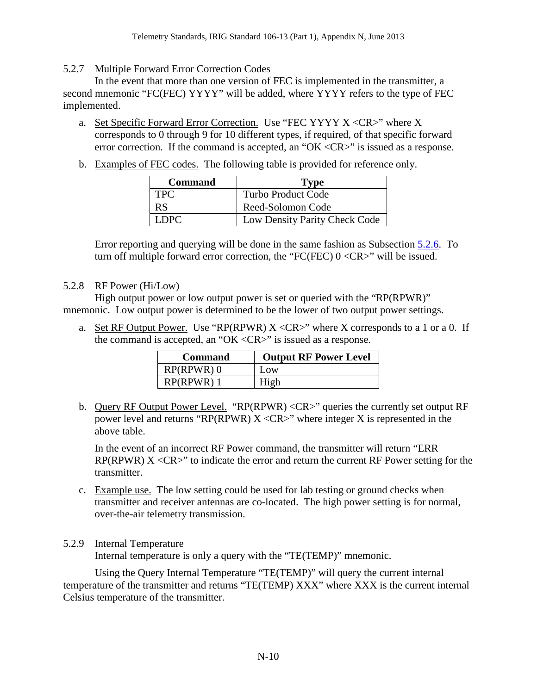5.2.7 Multiple Forward Error Correction Codes

In the event that more than one version of FEC is implemented in the transmitter, a second mnemonic "FC(FEC) YYYY" will be added, where YYYY refers to the type of FEC implemented.

- a. Set Specific Forward Error Correction. Use "FEC YYYY X  $\langle$ CR>" where X corresponds to 0 through 9 for 10 different types, if required, of that specific forward error correction. If the command is accepted, an "OK <CR>" is issued as a response.
- b. Examples of FEC codes. The following table is provided for reference only.

| <b>Command</b> | Type                          |
|----------------|-------------------------------|
| TPC            | Turbo Product Code            |
| <b>RS</b>      | Reed-Solomon Code             |
| LDPC.          | Low Density Parity Check Code |

Error reporting and querying will be done in the same fashion as Subsection [5.2.6.](#page-12-0) To turn off multiple forward error correction, the "FC(FEC)  $0 <$ CR>" will be issued.

#### 5.2.8 RF Power (Hi/Low)

High output power or low output power is set or queried with the "RP(RPWR)" mnemonic. Low output power is determined to be the lower of two output power settings.

a. Set RF Output Power. Use "RP(RPWR)  $X \le CR$ " where X corresponds to a 1 or a 0. If the command is accepted, an "OK <CR>" is issued as a response.

| Command      | <b>Output RF Power Level</b> |
|--------------|------------------------------|
| $RP(RPWR)$ 0 | LOW.                         |
| RP(RPWR)     |                              |

b. Query RF Output Power Level. "RP(RPWR) <CR>" queries the currently set output RF power level and returns "RP(RPWR)  $X \leq CR$  where integer X is represented in the above table.

In the event of an incorrect RF Power command, the transmitter will return "ERR  $RP(RPWR)$   $X \leq CR$  to indicate the error and return the current RF Power setting for the transmitter.

c. Example use. The low setting could be used for lab testing or ground checks when transmitter and receiver antennas are co-located. The high power setting is for normal, over-the-air telemetry transmission.

#### 5.2.9 Internal Temperature

Internal temperature is only a query with the "TE(TEMP)" mnemonic.

Using the Query Internal Temperature "TE(TEMP)" will query the current internal temperature of the transmitter and returns "TE(TEMP) XXX" where XXX is the current internal Celsius temperature of the transmitter.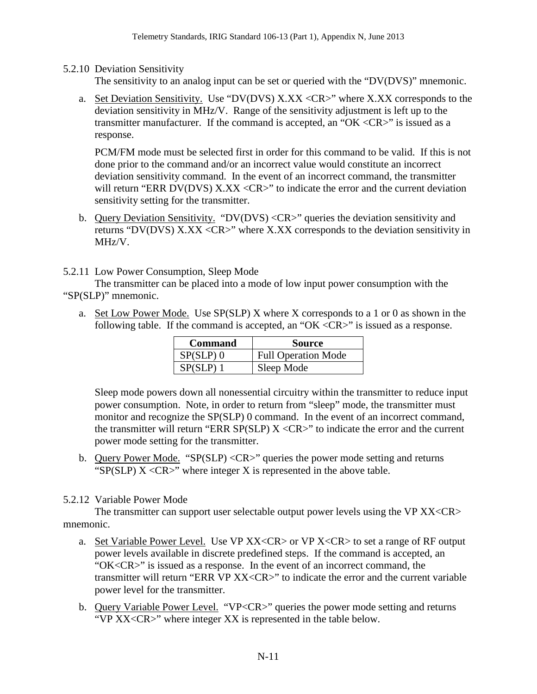5.2.10 Deviation Sensitivity

The sensitivity to an analog input can be set or queried with the "DV(DVS)" mnemonic.

a. Set Deviation Sensitivity. Use "DV(DVS) X.XX <CR>" where X.XX corresponds to the deviation sensitivity in MHz/V. Range of the sensitivity adjustment is left up to the transmitter manufacturer. If the command is accepted, an "OK  $\langle CR \rangle$ " is issued as a response.

PCM/FM mode must be selected first in order for this command to be valid. If this is not done prior to the command and/or an incorrect value would constitute an incorrect deviation sensitivity command. In the event of an incorrect command, the transmitter will return "ERR DV(DVS) X.XX <CR>" to indicate the error and the current deviation sensitivity setting for the transmitter.

b. Query Deviation Sensitivity. "DV(DVS) <CR>" queries the deviation sensitivity and returns "DV(DVS) X.XX <CR>" where X.XX corresponds to the deviation sensitivity in MHz/V.

#### 5.2.11 Low Power Consumption, Sleep Mode

The transmitter can be placed into a mode of low input power consumption with the "SP(SLP)" mnemonic.

a. Set Low Power Mode. Use SP(SLP) X where X corresponds to a 1 or 0 as shown in the following table. If the command is accepted, an "OK <CR>" is issued as a response.

| <b>Command</b> | Source                     |
|----------------|----------------------------|
| $SP(SLP)$ 0    | <b>Full Operation Mode</b> |
| $SP(SLP)$ 1    | Sleep Mode                 |

Sleep mode powers down all nonessential circuitry within the transmitter to reduce input power consumption. Note, in order to return from "sleep" mode, the transmitter must monitor and recognize the SP(SLP) 0 command. In the event of an incorrect command, the transmitter will return "ERR SP(SLP)  $X \langle CR \rangle$ " to indicate the error and the current power mode setting for the transmitter.

b. Query Power Mode. "SP(SLP) <CR>" queries the power mode setting and returns "SP(SLP)  $X < CR$ " where integer X is represented in the above table.

#### 5.2.12 Variable Power Mode

The transmitter can support user selectable output power levels using the VP XX<CR> mnemonic.

- a. Set Variable Power Level. Use VP XX<CR> or VP X<CR> to set a range of RF output power levels available in discrete predefined steps. If the command is accepted, an "OK<CR>" is issued as a response. In the event of an incorrect command, the transmitter will return "ERR VP XX<CR>" to indicate the error and the current variable power level for the transmitter.
- b. Query Variable Power Level. "VP<CR>" queries the power mode setting and returns "VP XX<CR>" where integer XX is represented in the table below.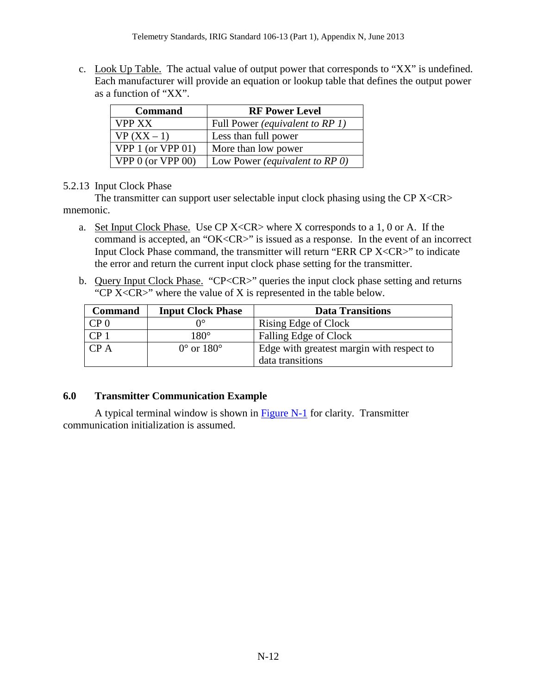c. Look Up Table. The actual value of output power that corresponds to "XX" is undefined. Each manufacturer will provide an equation or lookup table that defines the output power as a function of "XX".

| <b>Command</b>         | <b>RF Power Level</b>            |
|------------------------|----------------------------------|
| VPP XX                 | Full Power (equivalent to RP 1)  |
| $VP (XX - 1)$          | Less than full power             |
| VPP $1$ (or VPP 01)    | More than low power              |
| VPP $0$ (or VPP $00$ ) | Low Power (equivalent to $RP$ 0) |

#### 5.2.13 Input Clock Phase

The transmitter can support user selectable input clock phasing using the  $CP$  X $\lt$ CR $>$ mnemonic.

- a. Set Input Clock Phase. Use CP X<CR> where X corresponds to a 1, 0 or A. If the command is accepted, an "OK<CR>" is issued as a response. In the event of an incorrect Input Clock Phase command, the transmitter will return "ERR CP X<CR>" to indicate the error and return the current input clock phase setting for the transmitter.
- b. Query Input Clock Phase. "CP<CR>" queries the input clock phase setting and returns "CP X<CR>" where the value of X is represented in the table below.

| <b>Command</b>            | <b>Input Clock Phase</b>     | <b>Data Transitions</b>                   |
|---------------------------|------------------------------|-------------------------------------------|
| $\mathbb{C}\mathrm{P}\,0$ |                              | Rising Edge of Clock                      |
|                           | $180^\circ$                  | Falling Edge of Clock                     |
| CP A                      | $0^{\circ}$ or $180^{\circ}$ | Edge with greatest margin with respect to |
|                           |                              | data transitions                          |

## <span id="page-15-0"></span>**6.0 Transmitter Communication Example**

A typical terminal window is shown in [Figure N-1](#page-16-3) for clarity. Transmitter communication initialization is assumed.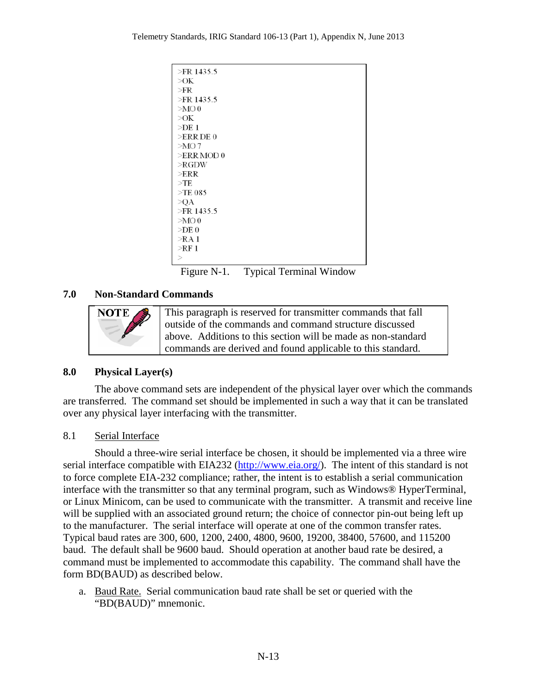| $>FR$ 1435.5                      |
|-----------------------------------|
|                                   |
| $>$ FR                            |
| $>FR$ 1435.5                      |
| $>$ MO $0$                        |
| $>$ OK                            |
| >DE1                              |
| $>$ ERR DE 0                      |
| $>$ MO 7                          |
| $>$ ERR MOD 0                     |
| $>$ RGDW                          |
| >ERR                              |
| $>$ TE                            |
| $>\!$ TE 085                      |
| $>\!\!\circledcirc\!\!\mathsf{A}$ |
| $>FR$ 1435.5                      |
| >MO0                              |
| $\geq$ DE 0                       |
| $>$ RA 1                          |
| $\geq$ RF 1                       |
| $\geq$                            |
|                                   |

Figure N-1. Typical Terminal Window

#### <span id="page-16-3"></span><span id="page-16-0"></span>**7.0 Non-Standard Commands**

| <b>SOTE</b>    | This paragraph is reserved for transmitter commands that fall                                                                |
|----------------|------------------------------------------------------------------------------------------------------------------------------|
| $\mathcal{F}'$ | outside of the commands and command structure discussed                                                                      |
|                | above. Additions to this section will be made as non-standard<br>commands are derived and found applicable to this standard. |

## <span id="page-16-1"></span>**8.0 Physical Layer(s)**

Ŋ

The above command sets are independent of the physical layer over which the commands are transferred. The command set should be implemented in such a way that it can be translated over any physical layer interfacing with the transmitter.

#### <span id="page-16-2"></span>8.1 Serial Interface

Should a three-wire serial interface be chosen, it should be implemented via a three wire serial interface compatible with EIA232 [\(http://www.eia.org/\)](http://www.eia.org/). The intent of this standard is not to force complete EIA-232 compliance; rather, the intent is to establish a serial communication interface with the transmitter so that any terminal program, such as Windows® HyperTerminal, or Linux Minicom, can be used to communicate with the transmitter. A transmit and receive line will be supplied with an associated ground return; the choice of connector pin-out being left up to the manufacturer. The serial interface will operate at one of the common transfer rates. Typical baud rates are 300, 600, 1200, 2400, 4800, 9600, 19200, 38400, 57600, and 115200 baud. The default shall be 9600 baud. Should operation at another baud rate be desired, a command must be implemented to accommodate this capability. The command shall have the form BD(BAUD) as described below.

a. Baud Rate. Serial communication baud rate shall be set or queried with the "BD(BAUD)" mnemonic.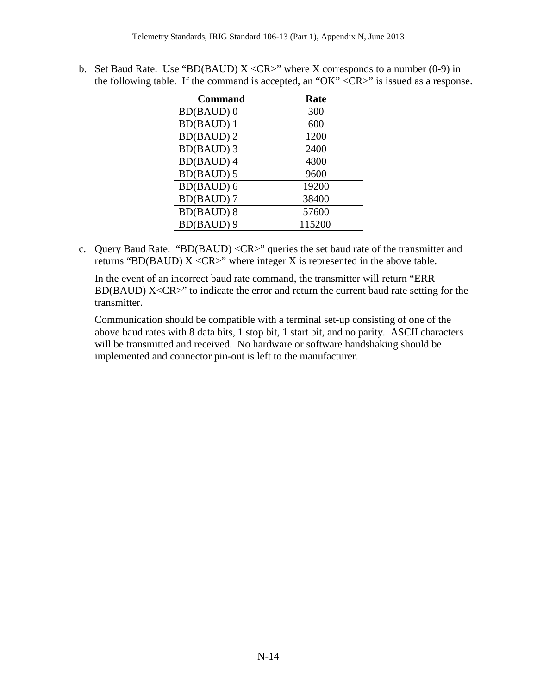| <b>Command</b>    | Rate   |
|-------------------|--------|
| <b>BD(BAUD) 0</b> | 300    |
| <b>BD(BAUD) 1</b> | 600    |
| <b>BD(BAUD) 2</b> | 1200   |
| <b>BD(BAUD) 3</b> | 2400   |
| <b>BD(BAUD) 4</b> | 4800   |
| <b>BD(BAUD) 5</b> | 9600   |
| <b>BD(BAUD) 6</b> | 19200  |
| <b>BD(BAUD) 7</b> | 38400  |
| <b>BD(BAUD) 8</b> | 57600  |
| <b>BD(BAUD) 9</b> | 115200 |

b. Set Baud Rate. Use "BD(BAUD)  $X \langle CR \rangle$ " where X corresponds to a number (0-9) in the following table. If the command is accepted, an "OK" <CR>" is issued as a response.

c. Query Baud Rate. "BD(BAUD) <CR>" queries the set baud rate of the transmitter and returns "BD(BAUD)  $X \leq CR$ " where integer X is represented in the above table.

In the event of an incorrect baud rate command, the transmitter will return "ERR  $BD(BAUD)$   $X < CR$   $>$ " to indicate the error and return the current baud rate setting for the transmitter.

Communication should be compatible with a terminal set-up consisting of one of the above baud rates with 8 data bits, 1 stop bit, 1 start bit, and no parity. ASCII characters will be transmitted and received. No hardware or software handshaking should be implemented and connector pin-out is left to the manufacturer.